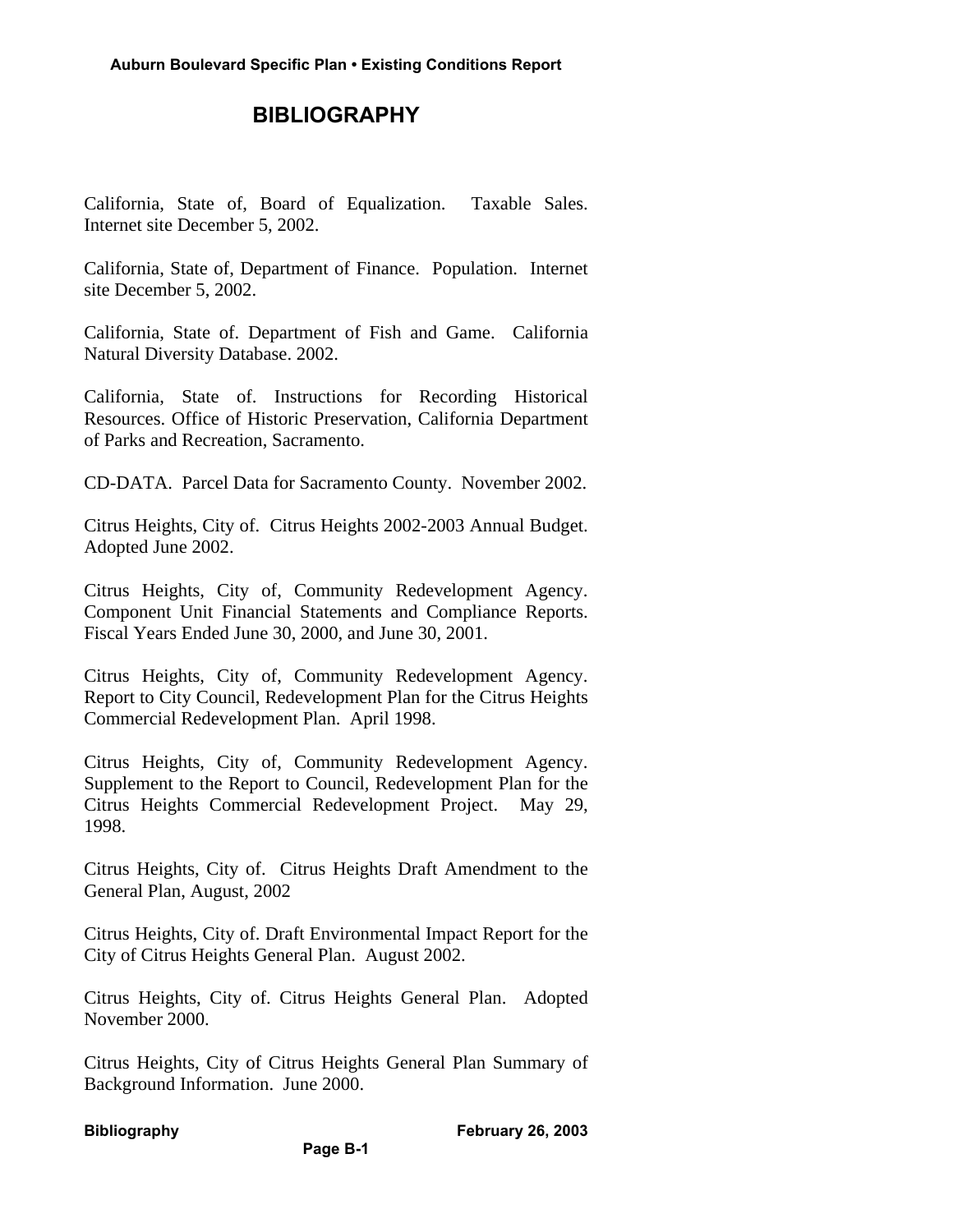## **BIBLIOGRAPHY**

California, State of, Board of Equalization. Taxable Sales. Internet site December 5, 2002.

California, State of, Department of Finance. Population. Internet site December 5, 2002.

California, State of. Department of Fish and Game. California Natural Diversity Database. 2002.

California, State of. Instructions for Recording Historical Resources. Office of Historic Preservation, California Department of Parks and Recreation, Sacramento.

CD-DATA. Parcel Data for Sacramento County. November 2002.

Citrus Heights, City of. Citrus Heights 2002-2003 Annual Budget. Adopted June 2002.

Citrus Heights, City of, Community Redevelopment Agency. Component Unit Financial Statements and Compliance Reports. Fiscal Years Ended June 30, 2000, and June 30, 2001.

Citrus Heights, City of, Community Redevelopment Agency. Report to City Council, Redevelopment Plan for the Citrus Heights Commercial Redevelopment Plan. April 1998.

Citrus Heights, City of, Community Redevelopment Agency. Supplement to the Report to Council, Redevelopment Plan for the Citrus Heights Commercial Redevelopment Project. May 29, 1998.

Citrus Heights, City of. Citrus Heights Draft Amendment to the General Plan, August, 2002

Citrus Heights, City of. Draft Environmental Impact Report for the City of Citrus Heights General Plan. August 2002.

Citrus Heights, City of. Citrus Heights General Plan. Adopted November 2000.

Citrus Heights, City of Citrus Heights General Plan Summary of Background Information. June 2000.

**Page B-1**

**Bibliography February 26, 2003**